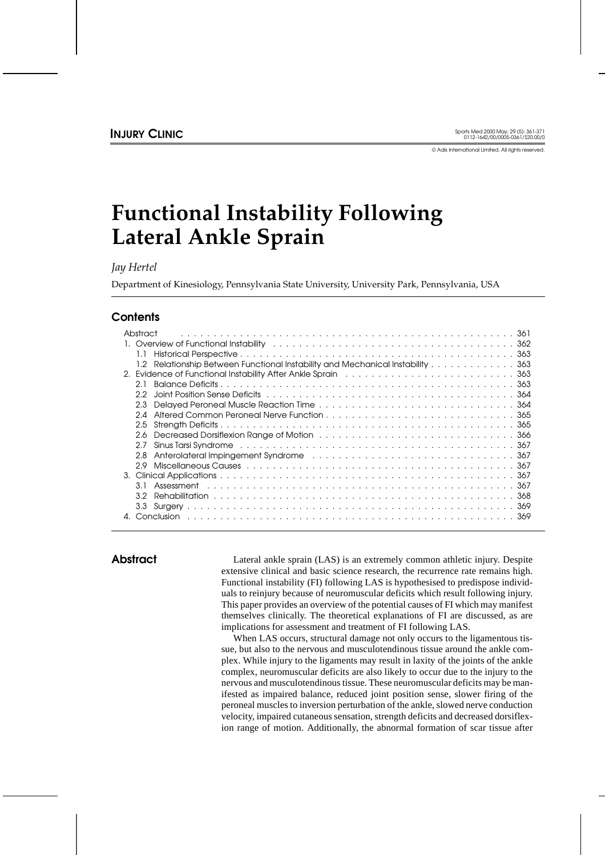© Adis International Limited. All rights reserved.

# **Functional Instability Following Lateral Ankle Sprain**

*Jay Hertel*

Department of Kinesiology, Pennsylvania State University, University Park, Pennsylvania, USA

# **Contents**

| Abstract                                                                                                              |
|-----------------------------------------------------------------------------------------------------------------------|
|                                                                                                                       |
|                                                                                                                       |
| 1.2 Relationship Between Functional Instability and Mechanical Instability 363                                        |
| 2. Evidence of Functional Instability After Ankle Sprain et al., we are all all all all all all 363                   |
| 21                                                                                                                    |
| っっ                                                                                                                    |
| 2.3                                                                                                                   |
|                                                                                                                       |
| 2.5                                                                                                                   |
| 2.6                                                                                                                   |
| 27                                                                                                                    |
| Anterolateral Impingement Syndrome results and such a series and series and states and states and states and s<br>2.8 |
| 2.9                                                                                                                   |
|                                                                                                                       |
| 3 I                                                                                                                   |
| 3.2                                                                                                                   |
|                                                                                                                       |
|                                                                                                                       |
|                                                                                                                       |

**Abstract** Lateral ankle sprain (LAS) is an extremely common athletic injury. Despite extensive clinical and basic science research, the recurrence rate remains high. Functional instability (FI) following LAS is hypothesised to predispose individuals to reinjury because of neuromuscular deficits which result following injury. This paper provides an overview of the potential causes of FI which may manifest themselves clinically. The theoretical explanations of FI are discussed, as are implications for assessment and treatment of FI following LAS.

> When LAS occurs, structural damage not only occurs to the ligamentous tissue, but also to the nervous and musculotendinous tissue around the ankle complex. While injury to the ligaments may result in laxity of the joints of the ankle complex, neuromuscular deficits are also likely to occur due to the injury to the nervous and musculotendinous tissue. These neuromuscular deficits may be manifested as impaired balance, reduced joint position sense, slower firing of the peroneal muscles to inversion perturbation of the ankle, slowed nerve conduction velocity, impaired cutaneous sensation, strength deficits and decreased dorsiflexion range of motion. Additionally, the abnormal formation of scar tissue after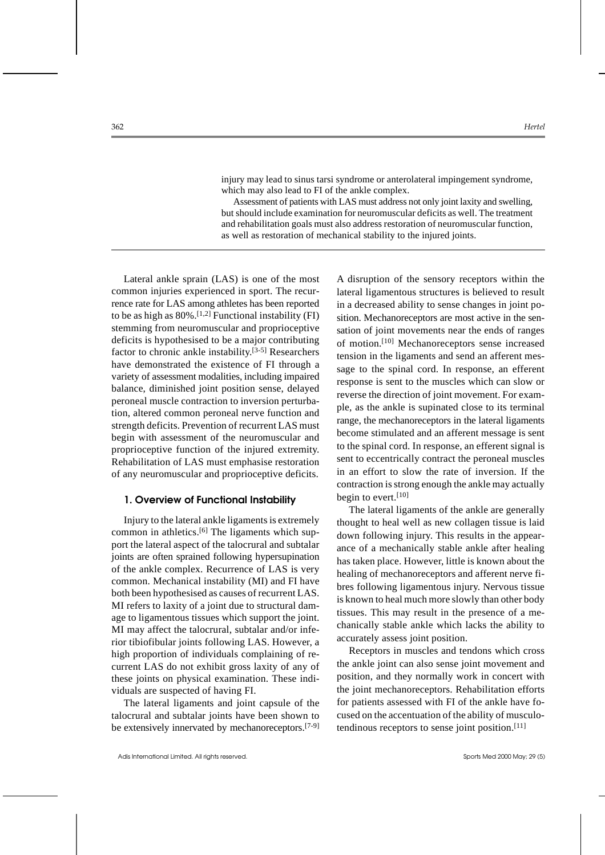injury may lead to sinus tarsi syndrome or anterolateral impingement syndrome, which may also lead to FI of the ankle complex.

Assessment of patients with LAS must address not only joint laxity and swelling, but should include examination for neuromuscular deficits as well. The treatment and rehabilitation goals must also address restoration of neuromuscular function, as well as restoration of mechanical stability to the injured joints.

Lateral ankle sprain (LAS) is one of the most common injuries experienced in sport. The recurrence rate for LAS among athletes has been reported to be as high as  $80\%$ .<sup>[1,2]</sup> Functional instability (FI) stemming from neuromuscular and proprioceptive deficits is hypothesised to be a major contributing factor to chronic ankle instability.[3-5] Researchers have demonstrated the existence of FI through a variety of assessment modalities, including impaired balance, diminished joint position sense, delayed peroneal muscle contraction to inversion perturbation, altered common peroneal nerve function and strength deficits. Prevention of recurrent LAS must begin with assessment of the neuromuscular and proprioceptive function of the injured extremity. Rehabilitation of LAS must emphasise restoration of any neuromuscular and proprioceptive deficits.

## **1. Overview of Functional Instability**

Injury to the lateral ankle ligaments is extremely common in athletics.<sup>[6]</sup> The ligaments which support the lateral aspect of the talocrural and subtalar joints are often sprained following hypersupination of the ankle complex. Recurrence of LAS is very common. Mechanical instability (MI) and FI have both been hypothesised as causes of recurrent LAS. MI refers to laxity of a joint due to structural damage to ligamentous tissues which support the joint. MI may affect the talocrural, subtalar and/or inferior tibiofibular joints following LAS. However, a high proportion of individuals complaining of recurrent LAS do not exhibit gross laxity of any of these joints on physical examination. These individuals are suspected of having FI.

The lateral ligaments and joint capsule of the talocrural and subtalar joints have been shown to be extensively innervated by mechanoreceptors.[7-9] A disruption of the sensory receptors within the lateral ligamentous structures is believed to result in a decreased ability to sense changes in joint position. Mechanoreceptors are most active in the sensation of joint movements near the ends of ranges of motion.[10] Mechanoreceptors sense increased tension in the ligaments and send an afferent message to the spinal cord. In response, an efferent response is sent to the muscles which can slow or reverse the direction of joint movement. For example, as the ankle is supinated close to its terminal range, the mechanoreceptors in the lateral ligaments become stimulated and an afferent message is sent to the spinal cord. In response, an efferent signal is sent to eccentrically contract the peroneal muscles in an effort to slow the rate of inversion. If the contraction is strong enough the ankle may actually begin to evert. $[10]$ 

The lateral ligaments of the ankle are generally thought to heal well as new collagen tissue is laid down following injury. This results in the appearance of a mechanically stable ankle after healing has taken place. However, little is known about the healing of mechanoreceptors and afferent nerve fibres following ligamentous injury. Nervous tissue is known to heal much more slowly than other body tissues. This may result in the presence of a mechanically stable ankle which lacks the ability to accurately assess joint position.

Receptors in muscles and tendons which cross the ankle joint can also sense joint movement and position, and they normally work in concert with the joint mechanoreceptors. Rehabilitation efforts for patients assessed with FI of the ankle have focused on the accentuation of the ability of musculotendinous receptors to sense joint position.[11]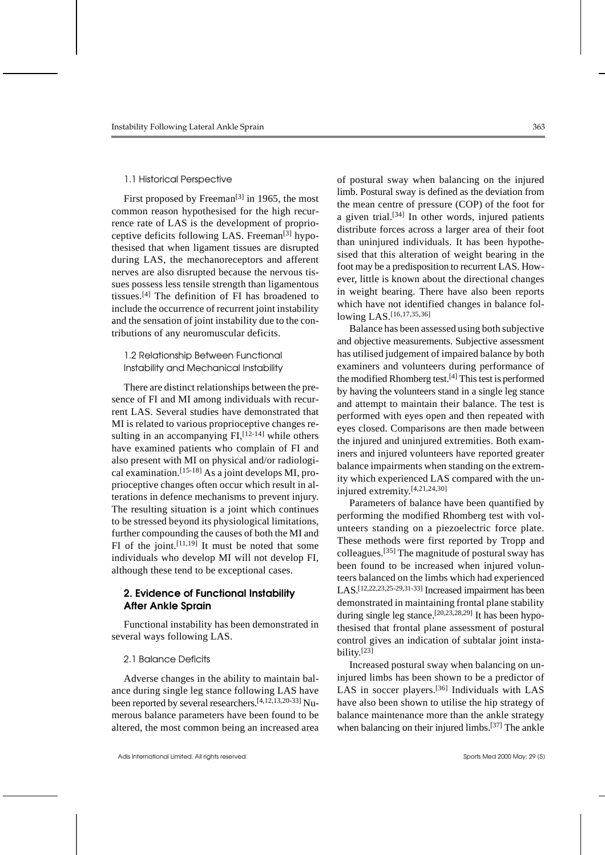#### 1.1 Historical Perspective

First proposed by Freeman<sup>[3]</sup> in 1965, the most common reason hypothesised for the high recurrence rate of LAS is the development of proprioceptive deficits following LAS. Freeman<sup>[3]</sup> hypothesised that when ligament tissues are disrupted during LAS, the mechanoreceptors and afferent nerves are also disrupted because the nervous tissues possess less tensile strength than ligamentous tissues.[4] The definition of FI has broadened to include the occurrence of recurrent joint instability and the sensation of joint instability due to the contributions of any neuromuscular deficits.

# 1.2 Relationship Between Functional Instability and Mechanical Instability

There are distinct relationships between the presence of FI and MI among individuals with recurrent LAS. Several studies have demonstrated that MI is related to various proprioceptive changes resulting in an accompanying  $FI<sub>1</sub><sup>[12-14]</sup>$  while others have examined patients who complain of FI and also present with MI on physical and/or radiological examination.[15-18] As a joint develops MI, proprioceptive changes often occur which result in alterations in defence mechanisms to prevent injury. The resulting situation is a joint which continues to be stressed beyond its physiological limitations, further compounding the causes of both the MI and FI of the joint.  $[11,19]$  It must be noted that some individuals who develop MI will not develop FI, although these tend to be exceptional cases.

# **2. Evidence of Functional Instability After Ankle Sprain**

Functional instability has been demonstrated in several ways following LAS.

### 2.1 Balance Deficits

Adverse changes in the ability to maintain balance during single leg stance following LAS have been reported by several researchers.<sup>[4,12,13,20-33]</sup> Numerous balance parameters have been found to be altered, the most common being an increased area of postural sway when balancing on the injured limb. Postural sway is defined as the deviation from the mean centre of pressure (COP) of the foot for a given trial.[34] In other words, injured patients distribute forces across a larger area of their foot than uninjured individuals. It has been hypothesised that this alteration of weight bearing in the foot may be a predisposition to recurrent LAS. However, little is known about the directional changes in weight bearing. There have also been reports which have not identified changes in balance following LAS.[16,17,35,36]

Balance has been assessed using both subjective and objective measurements. Subjective assessment has utilised judgement of impaired balance by both examiners and volunteers during performance of the modified Rhomberg test.[4] This test is performed by having the volunteers stand in a single leg stance and attempt to maintain their balance. The test is performed with eyes open and then repeated with eyes closed. Comparisons are then made between the injured and uninjured extremities. Both examiners and injured volunteers have reported greater balance impairments when standing on the extremity which experienced LAS compared with the uninjured extremity.[4,21,24,30]

Parameters of balance have been quantified by performing the modified Rhomberg test with volunteers standing on a piezoelectric force plate. These methods were first reported by Tropp and colleagues.[35] The magnitude of postural sway has been found to be increased when injured volunteers balanced on the limbs which had experienced LAS.[12,22,23,25-29,31-33] Increased impairment has been demonstrated in maintaining frontal plane stability during single leg stance.<sup>[20,23,28,29]</sup> It has been hypothesised that frontal plane assessment of postural control gives an indication of subtalar joint instability.[23]

Increased postural sway when balancing on uninjured limbs has been shown to be a predictor of LAS in soccer players.<sup>[36]</sup> Individuals with LAS have also been shown to utilise the hip strategy of balance maintenance more than the ankle strategy when balancing on their injured limbs.<sup>[37]</sup> The ankle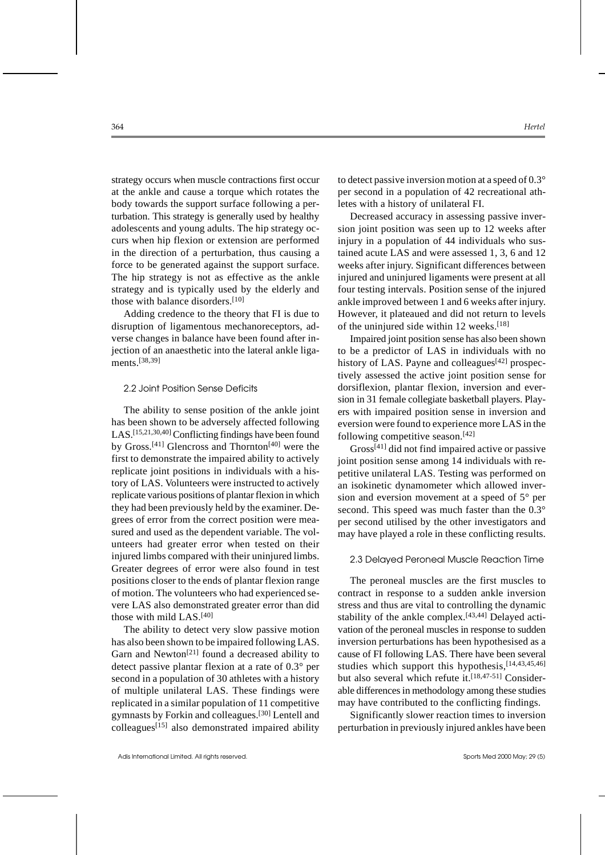strategy occurs when muscle contractions first occur at the ankle and cause a torque which rotates the body towards the support surface following a perturbation. This strategy is generally used by healthy adolescents and young adults. The hip strategy occurs when hip flexion or extension are performed in the direction of a perturbation, thus causing a force to be generated against the support surface. The hip strategy is not as effective as the ankle strategy and is typically used by the elderly and those with balance disorders.[10]

Adding credence to the theory that FI is due to disruption of ligamentous mechanoreceptors, adverse changes in balance have been found after injection of an anaesthetic into the lateral ankle ligaments.[38,39]

# 2.2 Joint Position Sense Deficits

The ability to sense position of the ankle joint has been shown to be adversely affected following LAS.[15,21,30,40] Conflicting findings have been found by Gross.[41] Glencross and Thornton[40] were the first to demonstrate the impaired ability to actively replicate joint positions in individuals with a history of LAS. Volunteers were instructed to actively replicate various positions of plantar flexion in which they had been previously held by the examiner. Degrees of error from the correct position were measured and used as the dependent variable. The volunteers had greater error when tested on their injured limbs compared with their uninjured limbs. Greater degrees of error were also found in test positions closer to the ends of plantar flexion range of motion. The volunteers who had experienced severe LAS also demonstrated greater error than did those with mild LAS.[40]

The ability to detect very slow passive motion has also been shown to be impaired following LAS. Garn and Newton<sup>[21]</sup> found a decreased ability to detect passive plantar flexion at a rate of 0.3° per second in a population of 30 athletes with a history of multiple unilateral LAS. These findings were replicated in a similar population of 11 competitive gymnasts by Forkin and colleagues.[30] Lentell and  $\text{colleagues}^{[15]}$  also demonstrated impaired ability to detect passive inversion motion at a speed of 0.3° per second in a population of 42 recreational athletes with a history of unilateral FI.

Decreased accuracy in assessing passive inversion joint position was seen up to 12 weeks after injury in a population of 44 individuals who sustained acute LAS and were assessed 1, 3, 6 and 12 weeks after injury. Significant differences between injured and uninjured ligaments were present at all four testing intervals. Position sense of the injured ankle improved between 1 and 6 weeks after injury. However, it plateaued and did not return to levels of the uninjured side within 12 weeks.[18]

Impaired joint position sense has also been shown to be a predictor of LAS in individuals with no history of LAS. Payne and colleagues<sup>[42]</sup> prospectively assessed the active joint position sense for dorsiflexion, plantar flexion, inversion and eversion in 31 female collegiate basketball players. Players with impaired position sense in inversion and eversion were found to experience more LAS in the following competitive season.[42]

Gross[41] did not find impaired active or passive joint position sense among 14 individuals with repetitive unilateral LAS. Testing was performed on an isokinetic dynamometer which allowed inversion and eversion movement at a speed of 5° per second. This speed was much faster than the  $0.3^{\circ}$ per second utilised by the other investigators and may have played a role in these conflicting results.

#### 2.3 Delayed Peroneal Muscle Reaction Time

The peroneal muscles are the first muscles to contract in response to a sudden ankle inversion stress and thus are vital to controlling the dynamic stability of the ankle complex.[43,44] Delayed activation of the peroneal muscles in response to sudden inversion perturbations has been hypothesised as a cause of FI following LAS. There have been several studies which support this hypothesis, [14,43,45,46] but also several which refute it.<sup>[18,47-51]</sup> Considerable differences in methodology among these studies may have contributed to the conflicting findings.

Significantly slower reaction times to inversion perturbation in previously injured ankles have been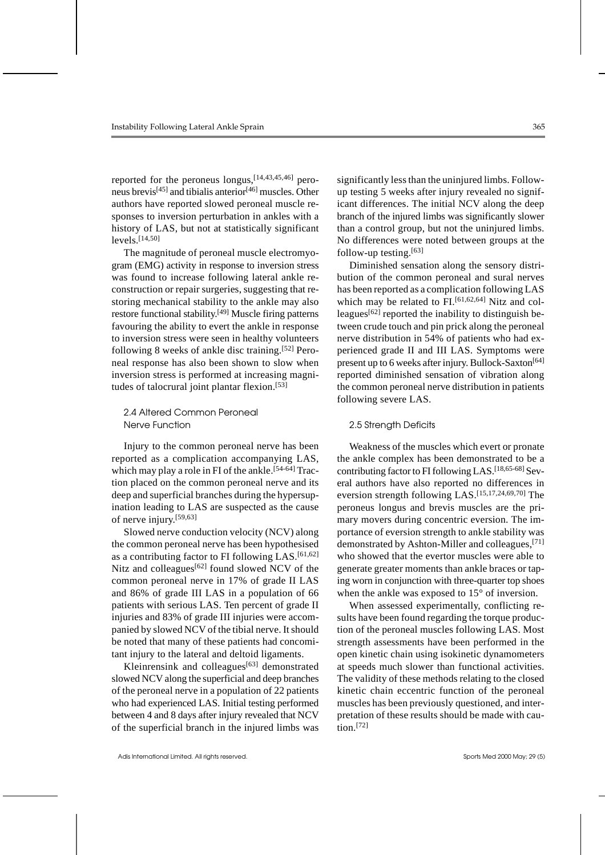reported for the peroneus longus,[14,43,45,46] peroneus brevis[45] and tibialis anterior[46] muscles. Other authors have reported slowed peroneal muscle responses to inversion perturbation in ankles with a history of LAS, but not at statistically significant levels.[14,50]

The magnitude of peroneal muscle electromyogram (EMG) activity in response to inversion stress was found to increase following lateral ankle reconstruction or repair surgeries, suggesting that restoring mechanical stability to the ankle may also restore functional stability.[49] Muscle firing patterns favouring the ability to evert the ankle in response to inversion stress were seen in healthy volunteers following 8 weeks of ankle disc training.<sup>[52]</sup> Peroneal response has also been shown to slow when inversion stress is performed at increasing magnitudes of talocrural joint plantar flexion.[53]

# 2.4 Altered Common Peroneal Nerve Function

Injury to the common peroneal nerve has been reported as a complication accompanying LAS, which may play a role in FI of the ankle.<sup>[54-64]</sup> Traction placed on the common peroneal nerve and its deep and superficial branches during the hypersupination leading to LAS are suspected as the cause of nerve injury.[59,63]

Slowed nerve conduction velocity (NCV) along the common peroneal nerve has been hypothesised as a contributing factor to FI following LAS. $[61,62]$ Nitz and colleagues<sup>[62]</sup> found slowed NCV of the common peroneal nerve in 17% of grade II LAS and 86% of grade III LAS in a population of 66 patients with serious LAS. Ten percent of grade II injuries and 83% of grade III injuries were accompanied by slowed NCV of the tibial nerve. It should be noted that many of these patients had concomitant injury to the lateral and deltoid ligaments.

Kleinrensink and colleagues<sup>[63]</sup> demonstrated slowed NCV along the superficial and deep branches of the peroneal nerve in a population of 22 patients who had experienced LAS. Initial testing performed between 4 and 8 days after injury revealed that NCV of the superficial branch in the injured limbs was significantly less than the uninjured limbs. Followup testing 5 weeks after injury revealed no significant differences. The initial NCV along the deep branch of the injured limbs was significantly slower than a control group, but not the uninjured limbs. No differences were noted between groups at the follow-up testing.[63]

Diminished sensation along the sensory distribution of the common peroneal and sural nerves has been reported as a complication following LAS which may be related to FI.<sup>[61,62,64]</sup> Nitz and colleagues<sup>[62]</sup> reported the inability to distinguish between crude touch and pin prick along the peroneal nerve distribution in 54% of patients who had experienced grade II and III LAS. Symptoms were present up to 6 weeks after injury. Bullock-Saxton<sup>[64]</sup> reported diminished sensation of vibration along the common peroneal nerve distribution in patients following severe LAS.

# 2.5 Strength Deficits

Weakness of the muscles which evert or pronate the ankle complex has been demonstrated to be a contributing factor to FI following LAS.[18,65-68] Several authors have also reported no differences in eversion strength following LAS.[15,17,24,69,70] The peroneus longus and brevis muscles are the primary movers during concentric eversion. The importance of eversion strength to ankle stability was demonstrated by Ashton-Miller and colleagues,[71] who showed that the evertor muscles were able to generate greater moments than ankle braces or taping worn in conjunction with three-quarter top shoes when the ankle was exposed to 15° of inversion.

When assessed experimentally, conflicting results have been found regarding the torque production of the peroneal muscles following LAS. Most strength assessments have been performed in the open kinetic chain using isokinetic dynamometers at speeds much slower than functional activities. The validity of these methods relating to the closed kinetic chain eccentric function of the peroneal muscles has been previously questioned, and interpretation of these results should be made with cau $tion.$ [72]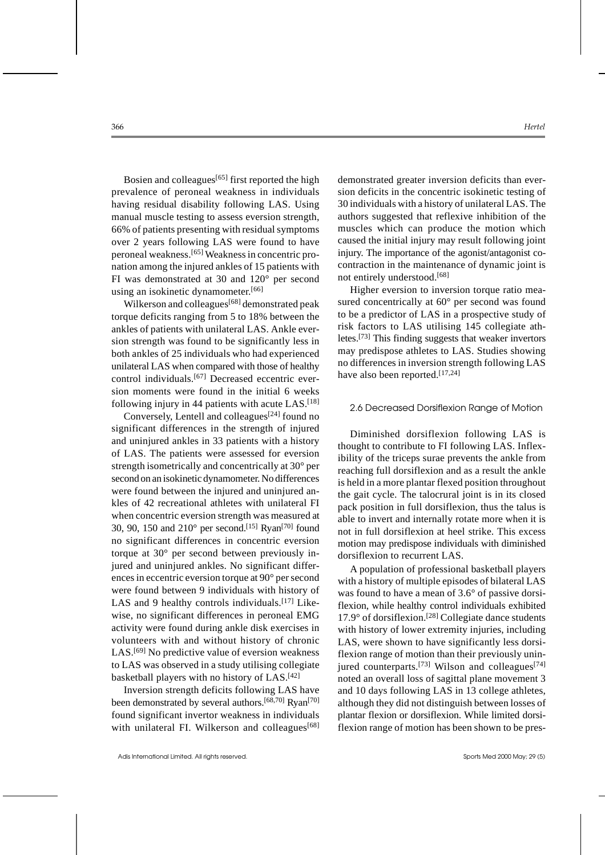Bosien and colleagues<sup>[65]</sup> first reported the high prevalence of peroneal weakness in individuals having residual disability following LAS. Using manual muscle testing to assess eversion strength, 66% of patients presenting with residual symptoms over 2 years following LAS were found to have peroneal weakness.[65] Weakness in concentric pronation among the injured ankles of 15 patients with FI was demonstrated at 30 and 120° per second using an isokinetic dynamometer.[66]

Wilkerson and colleagues<sup>[68]</sup> demonstrated peak torque deficits ranging from 5 to 18% between the ankles of patients with unilateral LAS. Ankle eversion strength was found to be significantly less in both ankles of 25 individuals who had experienced unilateral LAS when compared with those of healthy control individuals.[67] Decreased eccentric eversion moments were found in the initial 6 weeks following injury in 44 patients with acute  $LAS$ <sup>[18]</sup>

Conversely, Lentell and colleagues[24] found no significant differences in the strength of injured and uninjured ankles in 33 patients with a history of LAS. The patients were assessed for eversion strength isometrically and concentrically at 30° per second on an isokinetic dynamometer. No differences were found between the injured and uninjured ankles of 42 recreational athletes with unilateral FI when concentric eversion strength was measured at 30, 90, 150 and 210° per second.[15] Ryan[70] found no significant differences in concentric eversion torque at 30° per second between previously injured and uninjured ankles. No significant differences in eccentric eversion torque at 90° per second were found between 9 individuals with history of LAS and 9 healthy controls individuals.<sup>[17]</sup> Likewise, no significant differences in peroneal EMG activity were found during ankle disk exercises in volunteers with and without history of chronic LAS.<sup>[69]</sup> No predictive value of eversion weakness to LAS was observed in a study utilising collegiate basketball players with no history of LAS.[42]

Inversion strength deficits following LAS have been demonstrated by several authors.<sup>[68,70]</sup> Ryan<sup>[70]</sup> found significant invertor weakness in individuals with unilateral FI. Wilkerson and colleagues<sup>[68]</sup> demonstrated greater inversion deficits than eversion deficits in the concentric isokinetic testing of 30 individuals with a history of unilateral LAS. The authors suggested that reflexive inhibition of the muscles which can produce the motion which caused the initial injury may result following joint injury. The importance of the agonist/antagonist cocontraction in the maintenance of dynamic joint is not entirely understood.[68]

Higher eversion to inversion torque ratio measured concentrically at 60° per second was found to be a predictor of LAS in a prospective study of risk factors to LAS utilising 145 collegiate athletes.[73] This finding suggests that weaker invertors may predispose athletes to LAS. Studies showing no differences in inversion strength following LAS have also been reported.<sup>[17,24]</sup>

#### 2.6 Decreased Dorsiflexion Range of Motion

Diminished dorsiflexion following LAS is thought to contribute to FI following LAS. Inflexibility of the triceps surae prevents the ankle from reaching full dorsiflexion and as a result the ankle is held in a more plantar flexed position throughout the gait cycle. The talocrural joint is in its closed pack position in full dorsiflexion, thus the talus is able to invert and internally rotate more when it is not in full dorsiflexion at heel strike. This excess motion may predispose individuals with diminished dorsiflexion to recurrent LAS.

A population of professional basketball players with a history of multiple episodes of bilateral LAS was found to have a mean of 3.6° of passive dorsiflexion, while healthy control individuals exhibited  $17.9^{\circ}$  of dorsiflexion.<sup>[28]</sup> Collegiate dance students with history of lower extremity injuries, including LAS, were shown to have significantly less dorsiflexion range of motion than their previously uninjured counterparts.<sup>[73]</sup> Wilson and colleagues<sup>[74]</sup> noted an overall loss of sagittal plane movement 3 and 10 days following LAS in 13 college athletes, although they did not distinguish between losses of plantar flexion or dorsiflexion. While limited dorsiflexion range of motion has been shown to be pres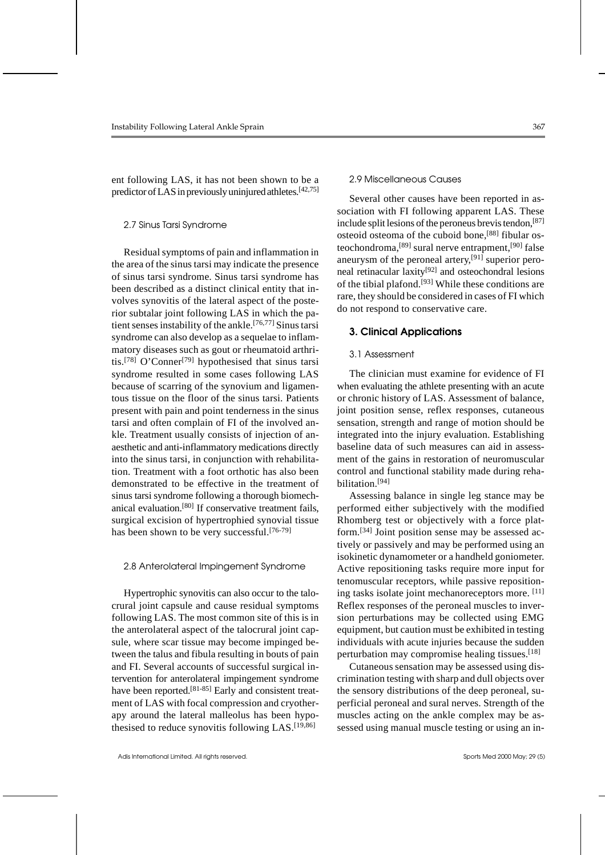ent following LAS, it has not been shown to be a predictor of LAS in previously uninjured athletes.<sup>[42,75]</sup>

#### 2.7 Sinus Tarsi Syndrome

Residual symptoms of pain and inflammation in the area of the sinus tarsi may indicate the presence of sinus tarsi syndrome. Sinus tarsi syndrome has been described as a distinct clinical entity that involves synovitis of the lateral aspect of the posterior subtalar joint following LAS in which the patient senses instability of the ankle.[76,77] Sinus tarsi syndrome can also develop as a sequelae to inflammatory diseases such as gout or rheumatoid arthritis.<sup>[78]</sup> O'Conner<sup>[79]</sup> hypothesised that sinus tarsi syndrome resulted in some cases following LAS because of scarring of the synovium and ligamentous tissue on the floor of the sinus tarsi. Patients present with pain and point tenderness in the sinus tarsi and often complain of FI of the involved ankle. Treatment usually consists of injection of anaesthetic and anti-inflammatory medications directly into the sinus tarsi, in conjunction with rehabilitation. Treatment with a foot orthotic has also been demonstrated to be effective in the treatment of sinus tarsi syndrome following a thorough biomechanical evaluation.[80] If conservative treatment fails, surgical excision of hypertrophied synovial tissue has been shown to be very successful.<sup>[76-79]</sup>

#### 2.8 Anterolateral Impingement Syndrome

Hypertrophic synovitis can also occur to the talocrural joint capsule and cause residual symptoms following LAS. The most common site of this is in the anterolateral aspect of the talocrural joint capsule, where scar tissue may become impinged between the talus and fibula resulting in bouts of pain and FI. Several accounts of successful surgical intervention for anterolateral impingement syndrome have been reported.<sup>[81-85]</sup> Early and consistent treatment of LAS with focal compression and cryotherapy around the lateral malleolus has been hypothesised to reduce synovitis following LAS.[19,86]

#### 2.9 Miscellaneous Causes

Several other causes have been reported in association with FI following apparent LAS. These include split lesions of the peroneus brevis tendon,<sup>[87]</sup> osteoid osteoma of the cuboid bone,[88] fibular osteochondroma,[89] sural nerve entrapment,[90] false aneurysm of the peroneal artery,[91] superior peroneal retinacular laxity[92] and osteochondral lesions of the tibial plafond.[93] While these conditions are rare, they should be considered in cases of FI which do not respond to conservative care.

#### **3. Clinical Applications**

#### 3.1 Assessment

The clinician must examine for evidence of FI when evaluating the athlete presenting with an acute or chronic history of LAS. Assessment of balance, joint position sense, reflex responses, cutaneous sensation, strength and range of motion should be integrated into the injury evaluation. Establishing baseline data of such measures can aid in assessment of the gains in restoration of neuromuscular control and functional stability made during rehabilitation.[94]

Assessing balance in single leg stance may be performed either subjectively with the modified Rhomberg test or objectively with a force platform.[34] Joint position sense may be assessed actively or passively and may be performed using an isokinetic dynamometer or a handheld goniometer. Active repositioning tasks require more input for tenomuscular receptors, while passive repositioning tasks isolate joint mechanoreceptors more. [11] Reflex responses of the peroneal muscles to inversion perturbations may be collected using EMG equipment, but caution must be exhibited in testing individuals with acute injuries because the sudden perturbation may compromise healing tissues.<sup>[18]</sup>

Cutaneous sensation may be assessed using discrimination testing with sharp and dull objects over the sensory distributions of the deep peroneal, superficial peroneal and sural nerves. Strength of the muscles acting on the ankle complex may be assessed using manual muscle testing or using an in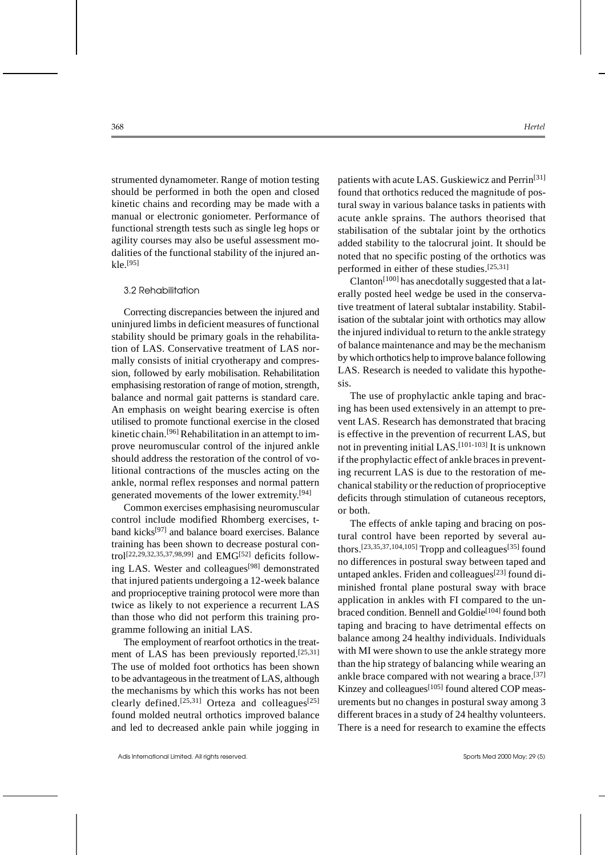strumented dynamometer. Range of motion testing should be performed in both the open and closed kinetic chains and recording may be made with a manual or electronic goniometer. Performance of functional strength tests such as single leg hops or agility courses may also be useful assessment modalities of the functional stability of the injured ankle.[95]

#### 3.2 Rehabilitation

Correcting discrepancies between the injured and uninjured limbs in deficient measures of functional stability should be primary goals in the rehabilitation of LAS. Conservative treatment of LAS normally consists of initial cryotherapy and compression, followed by early mobilisation. Rehabilitation emphasising restoration of range of motion, strength, balance and normal gait patterns is standard care. An emphasis on weight bearing exercise is often utilised to promote functional exercise in the closed kinetic chain.[96] Rehabilitation in an attempt to improve neuromuscular control of the injured ankle should address the restoration of the control of volitional contractions of the muscles acting on the ankle, normal reflex responses and normal pattern generated movements of the lower extremity.[94]

Common exercises emphasising neuromuscular control include modified Rhomberg exercises, tband kicks[97] and balance board exercises. Balance training has been shown to decrease postural control[22,29,32,35,37,98,99] and EMG[52] deficits following LAS. Wester and colleagues[98] demonstrated that injured patients undergoing a 12-week balance and proprioceptive training protocol were more than twice as likely to not experience a recurrent LAS than those who did not perform this training programme following an initial LAS.

The employment of rearfoot orthotics in the treatment of LAS has been previously reported.<sup>[25,31]</sup> The use of molded foot orthotics has been shown to be advantageous in the treatment of LAS, although the mechanisms by which this works has not been clearly defined.<sup>[25,31]</sup> Orteza and colleagues<sup>[25]</sup> found molded neutral orthotics improved balance and led to decreased ankle pain while jogging in patients with acute LAS. Guskiewicz and Perrin<sup>[31]</sup> found that orthotics reduced the magnitude of postural sway in various balance tasks in patients with acute ankle sprains. The authors theorised that stabilisation of the subtalar joint by the orthotics added stability to the talocrural joint. It should be noted that no specific posting of the orthotics was performed in either of these studies.[25,31]

Clanton<sup>[100]</sup> has anecdotally suggested that a laterally posted heel wedge be used in the conservative treatment of lateral subtalar instability. Stabilisation of the subtalar joint with orthotics may allow the injured individual to return to the ankle strategy of balance maintenance and may be the mechanism by which orthotics help to improve balance following LAS. Research is needed to validate this hypothesis.

The use of prophylactic ankle taping and bracing has been used extensively in an attempt to prevent LAS. Research has demonstrated that bracing is effective in the prevention of recurrent LAS, but not in preventing initial LAS.[101-103] It is unknown if the prophylactic effect of ankle braces in preventing recurrent LAS is due to the restoration of mechanical stability or the reduction of proprioceptive deficits through stimulation of cutaneous receptors, or both.

The effects of ankle taping and bracing on postural control have been reported by several authors.<sup>[23,35,37,104,105]</sup> Tropp and colleagues<sup>[35]</sup> found no differences in postural sway between taped and untaped ankles. Friden and colleagues<sup>[23]</sup> found diminished frontal plane postural sway with brace application in ankles with FI compared to the unbraced condition. Bennell and Goldie<sup>[104]</sup> found both taping and bracing to have detrimental effects on balance among 24 healthy individuals. Individuals with MI were shown to use the ankle strategy more than the hip strategy of balancing while wearing an ankle brace compared with not wearing a brace.<sup>[37]</sup> Kinzey and colleagues<sup>[105]</sup> found altered COP measurements but no changes in postural sway among 3 different braces in a study of 24 healthy volunteers. There is a need for research to examine the effects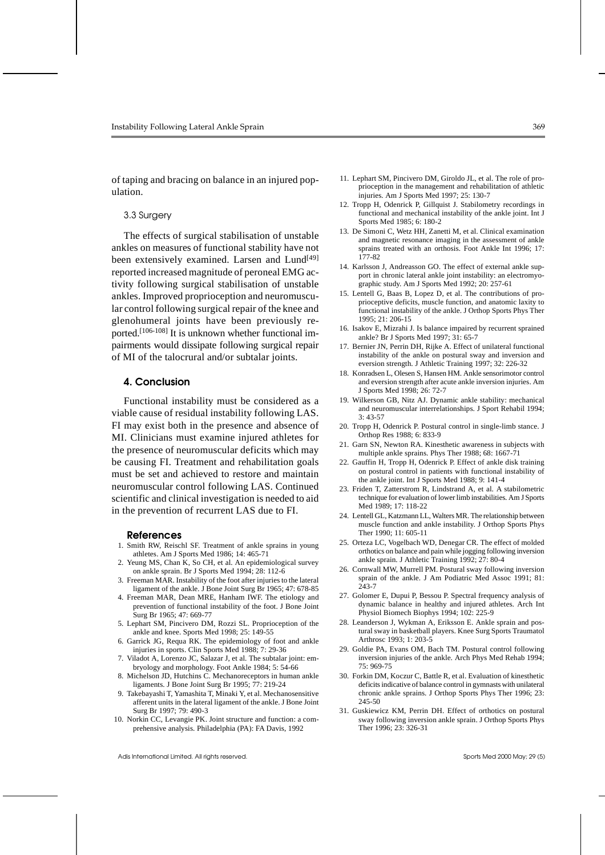of taping and bracing on balance in an injured population.

#### 3.3 Surgery

The effects of surgical stabilisation of unstable ankles on measures of functional stability have not been extensively examined. Larsen and Lund<sup>[49]</sup> reported increased magnitude of peroneal EMG activity following surgical stabilisation of unstable ankles. Improved proprioception and neuromuscular control following surgical repair of the knee and glenohumeral joints have been previously reported.<sup>[106-108]</sup> It is unknown whether functional impairments would dissipate following surgical repair of MI of the talocrural and/or subtalar joints.

#### **4. Conclusion**

Functional instability must be considered as a viable cause of residual instability following LAS. FI may exist both in the presence and absence of MI. Clinicians must examine injured athletes for the presence of neuromuscular deficits which may be causing FI. Treatment and rehabilitation goals must be set and achieved to restore and maintain neuromuscular control following LAS. Continued scientific and clinical investigation is needed to aid in the prevention of recurrent LAS due to FI.

#### **References**

- 1. Smith RW, Reischl SF. Treatment of ankle sprains in young athletes. Am J Sports Med 1986; 14: 465-71
- 2. Yeung MS, Chan K, So CH, et al. An epidemiological survey on ankle sprain. Br J Sports Med 1994; 28: 112-6
- 3. Freeman MAR. Instability of the foot after injuries to the lateral ligament of the ankle. J Bone Joint Surg Br 1965; 47: 678-85
- 4. Freeman MAR, Dean MRE, Hanham IWF. The etiology and prevention of functional instability of the foot. J Bone Joint Surg Br 1965; 47: 669-77
- 5. Lephart SM, Pincivero DM, Rozzi SL. Proprioception of the ankle and knee. Sports Med 1998; 25: 149-55
- 6. Garrick JG, Requa RK. The epidemiology of foot and ankle injuries in sports. Clin Sports Med 1988; 7: 29-36
- 7. Viladot A, Lorenzo JC, Salazar J, et al. The subtalar joint: embryology and morphology. Foot Ankle 1984; 5: 54-66
- 8. Michelson JD, Hutchins C. Mechanoreceptors in human ankle ligaments. J Bone Joint Surg Br 1995; 77: 219-24
- 9. Takebayashi T, Yamashita T, Minaki Y, et al. Mechanosensitive afferent units in the lateral ligament of the ankle. J Bone Joint Surg Br 1997; 79: 490-3
- 10. Norkin CC, Levangie PK. Joint structure and function: a comprehensive analysis. Philadelphia (PA): FA Davis, 1992
- 11. Lephart SM, Pincivero DM, Giroldo JL, et al. The role of proprioception in the management and rehabilitation of athletic injuries. Am J Sports Med 1997; 25: 130-7
- 12. Tropp H, Odenrick P, Gillquist J. Stabilometry recordings in functional and mechanical instability of the ankle joint. Int J Sports Med 1985; 6: 180-2
- 13. De Simoni C, Wetz HH, Zanetti M, et al. Clinical examination and magnetic resonance imaging in the assessment of ankle sprains treated with an orthosis. Foot Ankle Int 1996; 17: 177-82
- 14. Karlsson J, Andreasson GO. The effect of external ankle support in chronic lateral ankle joint instability: an electromyographic study. Am J Sports Med 1992; 20: 257-61
- 15. Lentell G, Baas B, Lopez D, et al. The contributions of proprioceptive deficits, muscle function, and anatomic laxity to functional instability of the ankle. J Orthop Sports Phys Ther 1995; 21: 206-15
- 16. Isakov E, Mizrahi J. Is balance impaired by recurrent sprained ankle? Br J Sports Med 1997; 31: 65-7
- 17. Bernier JN, Perrin DH, Rijke A. Effect of unilateral functional instability of the ankle on postural sway and inversion and eversion strength. J Athletic Training 1997; 32: 226-32
- 18. Konradsen L, Olesen S, Hansen HM. Ankle sensorimotor control and eversion strength after acute ankle inversion injuries. Am J Sports Med 1998; 26: 72-7
- 19. Wilkerson GB, Nitz AJ. Dynamic ankle stability: mechanical and neuromuscular interrelationships. J Sport Rehabil 1994; 3: 43-57
- 20. Tropp H, Odenrick P. Postural control in single-limb stance. J Orthop Res 1988; 6: 833-9
- 21. Garn SN, Newton RA. Kinesthetic awareness in subjects with multiple ankle sprains. Phys Ther 1988; 68: 1667-71
- 22. Gauffin H, Tropp H, Odenrick P. Effect of ankle disk training on postural control in patients with functional instability of the ankle joint. Int J Sports Med 1988; 9: 141-4
- 23. Friden T, Zatterstrom R, Lindstrand A, et al. A stabilometric technique for evaluation of lower limb instabilities. Am J Sports Med 1989; 17: 118-22
- 24. Lentell GL, Katzmann LL, Walters MR. The relationship between muscle function and ankle instability. J Orthop Sports Phys Ther 1990; 11: 605-11
- 25. Orteza LC, Vogelbach WD, Denegar CR. The effect of molded orthotics on balance and pain while jogging following inversion ankle sprain. J Athletic Training 1992; 27: 80-4
- 26. Cornwall MW, Murrell PM. Postural sway following inversion sprain of the ankle. J Am Podiatric Med Assoc 1991; 81: 243-7
- 27. Golomer E, Dupui P, Bessou P. Spectral frequency analysis of dynamic balance in healthy and injured athletes. Arch Int Physiol Biomech Biophys 1994; 102: 225-9
- 28. Leanderson J, Wykman A, Eriksson E. Ankle sprain and postural sway in basketball players. Knee Surg Sports Traumatol Arthrosc 1993; 1: 203-5
- 29. Goldie PA, Evans OM, Bach TM. Postural control following inversion injuries of the ankle. Arch Phys Med Rehab 1994; 75: 969-75
- 30. Forkin DM, Koczur C, Battle R, et al. Evaluation of kinesthetic deficits indicative of balance control in gymnasts with unilateral chronic ankle sprains. J Orthop Sports Phys Ther 1996; 23: 245-50
- 31. Guskiewicz KM, Perrin DH. Effect of orthotics on postural sway following inversion ankle sprain. J Orthop Sports Phys Ther 1996; 23: 326-31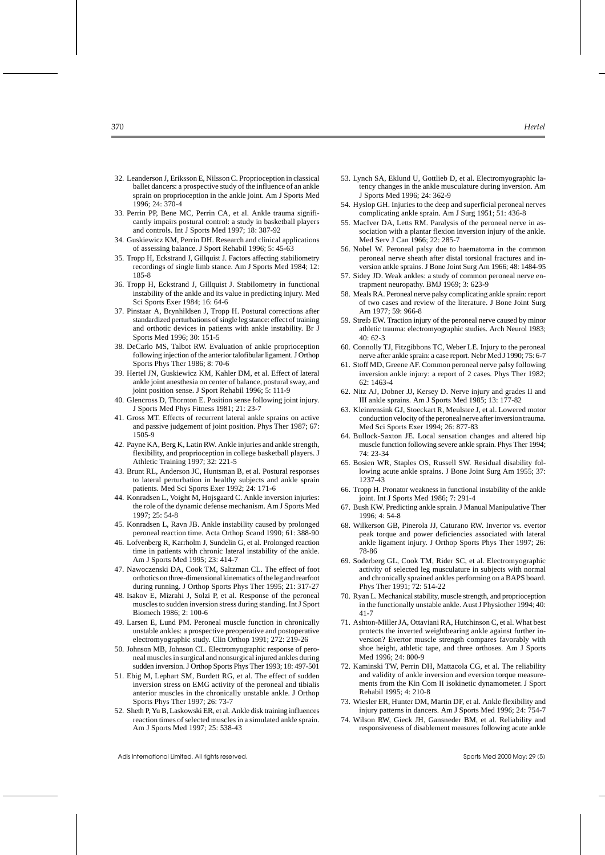- 32. Leanderson J, Eriksson E, Nilsson C. Proprioception in classical ballet dancers: a prospective study of the influence of an ankle sprain on proprioception in the ankle joint. Am J Sports Med 1996; 24: 370-4
- 33. Perrin PP, Bene MC, Perrin CA, et al. Ankle trauma significantly impairs postural control: a study in basketball players and controls. Int J Sports Med 1997; 18: 387-92
- 34. Guskiewicz KM, Perrin DH. Research and clinical applications of assessing balance. J Sport Rehabil 1996; 5: 45-63
- 35. Tropp H, Eckstrand J, Gillquist J. Factors affecting stabiliometry recordings of single limb stance. Am J Sports Med 1984; 12: 185-8
- 36. Tropp H, Eckstrand J, Gillquist J. Stabilometry in functional instability of the ankle and its value in predicting injury. Med Sci Sports Exer 1984; 16: 64-6
- 37. Pinstaar A, Brynhildsen J, Tropp H. Postural corrections after standardized perturbations of single leg stance: effect of training and orthotic devices in patients with ankle instability. Br J Sports Med 1996; 30: 151-5
- 38. DeCarlo MS, Talbot RW. Evaluation of ankle proprioception following injection of the anterior talofibular ligament. J Orthop Sports Phys Ther 1986; 8: 70-6
- 39. Hertel JN, Guskiewicz KM, Kahler DM, et al. Effect of lateral ankle joint anesthesia on center of balance, postural sway, and joint position sense. J Sport Rehabil 1996; 5: 111-9
- 40. Glencross D, Thornton E. Position sense following joint injury. J Sports Med Phys Fitness 1981; 21: 23-7
- 41. Gross MT. Effects of recurrent lateral ankle sprains on active and passive judgement of joint position. Phys Ther 1987; 67: 1505-9
- 42. Payne KA, Berg K, Latin RW. Ankle injuries and ankle strength, flexibility, and proprioception in college basketball players. J Athletic Training 1997; 32: 221-5
- 43. Brunt RL, Anderson JC, Huntsman B, et al. Postural responses to lateral perturbation in healthy subjects and ankle sprain patients. Med Sci Sports Exer 1992; 24: 171-6
- 44. Konradsen L, Voight M, Hojsgaard C. Ankle inversion injuries: the role of the dynamic defense mechanism. Am J Sports Med 1997; 25: 54-8
- 45. Konradsen L, Ravn JB. Ankle instability caused by prolonged peroneal reaction time. Acta Orthop Scand 1990; 61: 388-90
- 46. Lofvenberg R, Karrholm J, Sundelin G, et al. Prolonged reaction time in patients with chronic lateral instability of the ankle. Am J Sports Med 1995; 23: 414-7
- 47. Nawoczenski DA, Cook TM, Saltzman CL. The effect of foot orthotics on three-dimensional kinematics of the leg and rearfoot during running. J Orthop Sports Phys Ther 1995; 21: 317-27
- 48. Isakov E, Mizrahi J, Solzi P, et al. Response of the peroneal muscles to sudden inversion stress during standing. Int J Sport Biomech 1986; 2: 100-6
- 49. Larsen E, Lund PM. Peroneal muscle function in chronically unstable ankles: a prospective preoperative and postoperative electromyographic study. Clin Orthop 1991; 272: 219-26
- 50. Johnson MB, Johnson CL. Electromyographic response of peroneal muscles in surgical and nonsurgical injured ankles during sudden inversion. J Orthop Sports Phys Ther 1993; 18: 497-501
- 51. Ebig M, Lephart SM, Burdett RG, et al. The effect of sudden inversion stress on EMG activity of the peroneal and tibialis anterior muscles in the chronically unstable ankle. J Orthop Sports Phys Ther 1997; 26: 73-7
- 52. Sheth P, Yu B, Laskowski ER, et al. Ankle disk training influences reaction times of selected muscles in a simulated ankle sprain. Am J Sports Med 1997; 25: 538-43
- 53. Lynch SA, Eklund U, Gottlieb D, et al. Electromyographic latency changes in the ankle musculature during inversion. Am J Sports Med 1996; 24: 362-9
- 54. Hyslop GH. Injuries to the deep and superficial peroneal nerves complicating ankle sprain. Am J Surg 1951; 51: 436-8
- 55. MacIver DA, Letts RM. Paralysis of the peroneal nerve in association with a plantar flexion inversion injury of the ankle. Med Serv J Can 1966; 22: 285-7
- 56. Nobel W. Peroneal palsy due to haematoma in the common peroneal nerve sheath after distal torsional fractures and inversion ankle sprains. J Bone Joint Surg Am 1966; 48: 1484-95
- 57. Sidey JD. Weak ankles: a study of common peroneal nerve entrapment neuropathy. BMJ 1969; 3: 623-9
- 58. Meals RA. Peroneal nerve palsy complicating ankle sprain: report of two cases and review of the literature. J Bone Joint Surg Am 1977; 59: 966-8
- 59. Streib EW. Traction injury of the peroneal nerve caused by minor athletic trauma: electromyographic studies. Arch Neurol 1983; 40: 62-3
- 60. Connolly TJ, Fitzgibbons TC, Weber LE. Injury to the peroneal nerve after ankle sprain: a case report. Nebr Med J 1990; 75: 6-7
- 61. Stoff MD, Greene AF. Common peroneal nerve palsy following inversion ankle injury: a report of 2 cases. Phys Ther 1982; 62: 1463-4
- 62. Nitz AJ, Dobner JJ, Kersey D. Nerve injury and grades II and III ankle sprains. Am J Sports Med 1985; 13: 177-82
- 63. Kleinrensink GJ, Stoeckart R, Meulstee J, et al. Lowered motor conduction velocity of the peroneal nerve after inversion trauma. Med Sci Sports Exer 1994; 26: 877-83
- 64. Bullock-Saxton JE. Local sensation changes and altered hip muscle function following severe ankle sprain. Phys Ther 1994; 74: 23-34
- 65. Bosien WR, Staples OS, Russell SW. Residual disability following acute ankle sprains. J Bone Joint Surg Am 1955; 37: 1237-43
- 66. Tropp H. Pronator weakness in functional instability of the ankle joint. Int J Sports Med 1986; 7: 291-4
- 67. Bush KW. Predicting ankle sprain. J Manual Manipulative Ther 1996; 4: 54-8
- 68. Wilkerson GB, Pinerola JJ, Caturano RW. Invertor vs. evertor peak torque and power deficiencies associated with lateral ankle ligament injury. J Orthop Sports Phys Ther 1997; 26: 78-86
- 69. Soderberg GL, Cook TM, Rider SC, et al. Electromyographic activity of selected leg musculature in subjects with normal and chronically sprained ankles performing on a BAPS board. Phys Ther 1991; 72: 514-22
- 70. Ryan L. Mechanical stability, muscle strength, and proprioception in the functionally unstable ankle. Aust J Physiother 1994; 40: 41-7
- 71. Ashton-Miller JA, Ottaviani RA, Hutchinson C, et al. What best protects the inverted weightbearing ankle against further inversion? Evertor muscle strength compares favorably with shoe height, athletic tape, and three orthoses. Am J Sports Med 1996; 24: 800-9
- 72. Kaminski TW, Perrin DH, Mattacola CG, et al. The reliability and validity of ankle inversion and eversion torque measurements from the Kin Com II isokinetic dynamometer. J Sport Rehabil 1995; 4: 210-8
- 73. Wiesler ER, Hunter DM, Martin DF, et al. Ankle flexibility and injury patterns in dancers. Am J Sports Med 1996; 24: 754-7
- 74. Wilson RW, Gieck JH, Gansneder BM, et al. Reliability and responsiveness of disablement measures following acute ankle